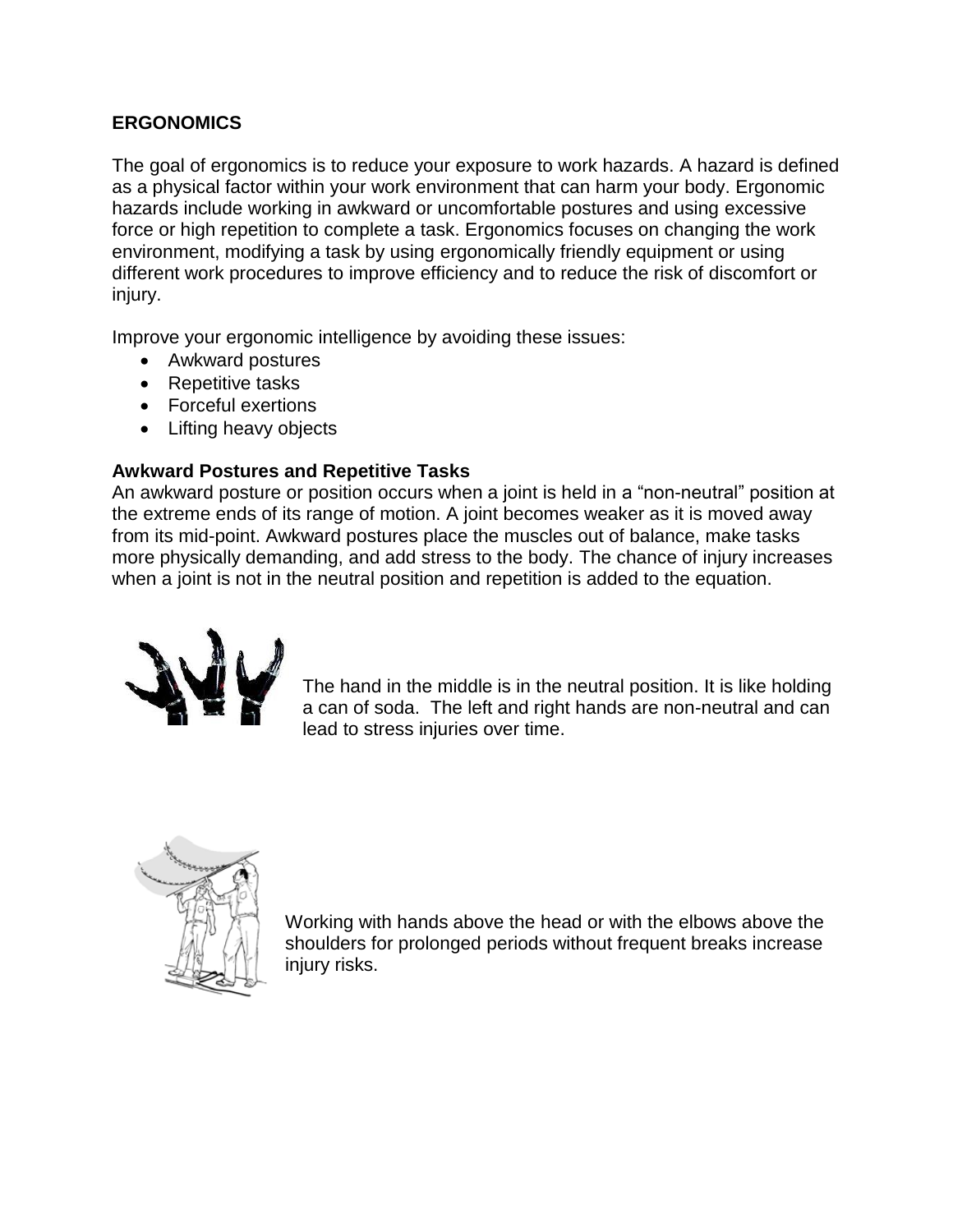# **ERGONOMICS**

The goal of ergonomics is to reduce your exposure to work hazards. A hazard is defined as a physical factor within your work environment that can harm your body. Ergonomic hazards include working in awkward or uncomfortable postures and using excessive force or high repetition to complete a task. Ergonomics focuses on changing the work environment, modifying a task by using ergonomically friendly equipment or using different work procedures to improve efficiency and to reduce the risk of discomfort or injury.

Improve your ergonomic intelligence by avoiding these issues:

- Awkward postures
- Repetitive tasks
- Forceful exertions
- Lifting heavy objects

## **Awkward Postures and Repetitive Tasks**

An awkward posture or position occurs when a joint is held in a "non-neutral" position at the extreme ends of its range of motion. A joint becomes weaker as it is moved away from its mid-point. Awkward postures place the muscles out of balance, make tasks more physically demanding, and add stress to the body. The chance of injury increases when a joint is not in the neutral position and repetition is added to the equation.



The hand in the middle is in the neutral position. It is like holding a can of soda. The left and right hands are non-neutral and can lead to stress injuries over time.



Working with hands above the head or with the elbows above the shoulders for prolonged periods without frequent breaks increase injury risks.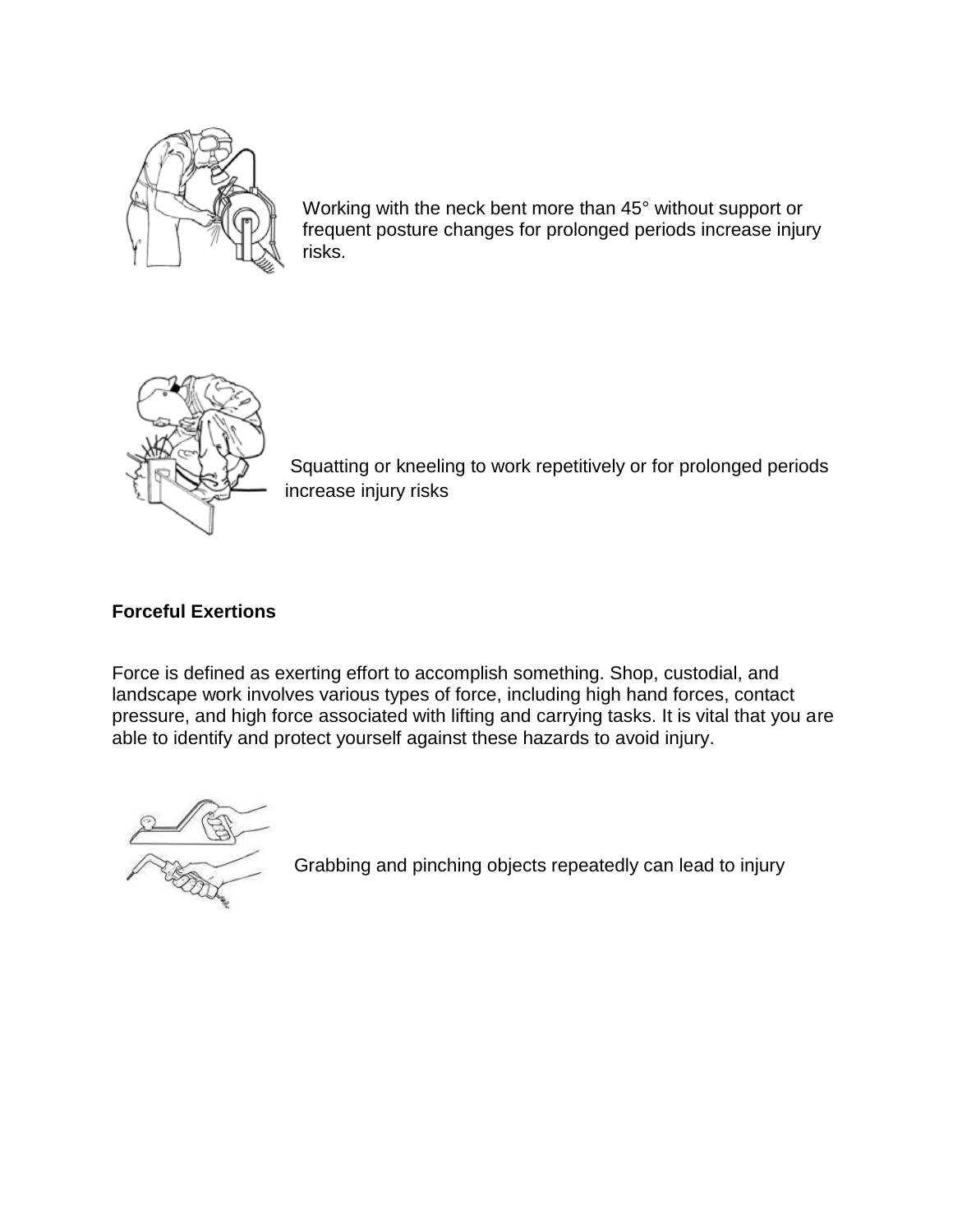

Working with the neck bent more than 45° without support or frequent posture changes for prolonged periods increase injury risks.



Squatting or kneeling to work repetitively or for prolonged periods increase injury risks

## **Forceful Exertions**

Force is defined as exerting effort to accomplish something. Shop, custodial, and landscape work involves various types of force, including high hand forces, contact pressure, and high force associated with lifting and carrying tasks. It is vital that you are able to identify and protect yourself against these hazards to avoid injury.



Grabbing and pinching objects repeatedly can lead to injury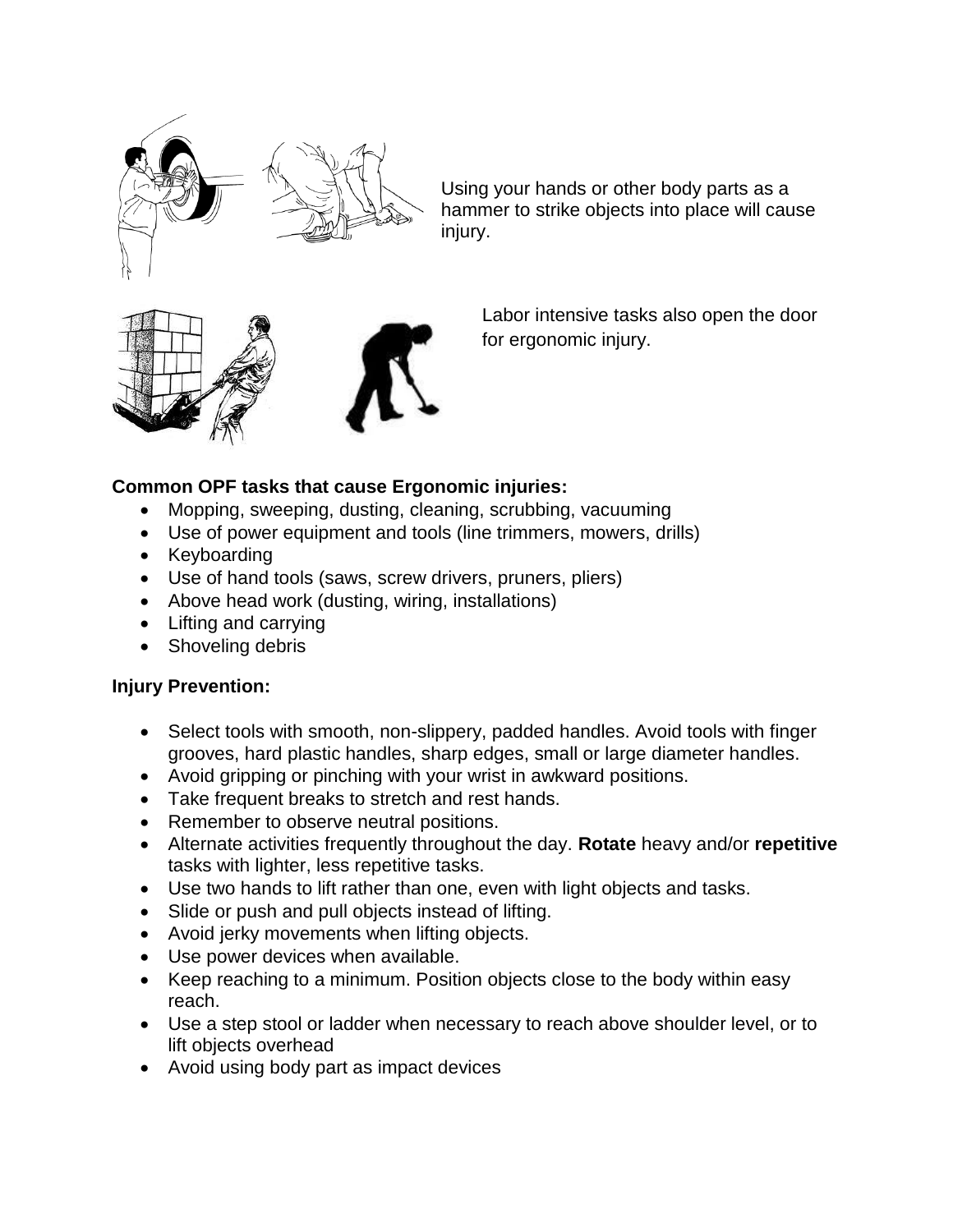

Using your hands or other body parts as a hammer to strike objects into place will cause injury.



Labor intensive tasks also open the door for ergonomic injury.

## **Common OPF tasks that cause Ergonomic injuries:**

- Mopping, sweeping, dusting, cleaning, scrubbing, vacuuming
- Use of power equipment and tools (line trimmers, mowers, drills)
- Keyboarding
- Use of hand tools (saws, screw drivers, pruners, pliers)
- Above head work (dusting, wiring, installations)
- Lifting and carrying
- Shoveling debris

### **Injury Prevention:**

- Select tools with smooth, non-slippery, padded handles. Avoid tools with finger grooves, hard plastic handles, sharp edges, small or large diameter handles.
- Avoid gripping or pinching with your wrist in awkward positions.
- Take frequent breaks to stretch and rest hands.
- Remember to observe neutral positions.
- Alternate activities frequently throughout the day. **Rotate** heavy and/or **repetitive**  tasks with lighter, less repetitive tasks.
- Use two hands to lift rather than one, even with light objects and tasks.
- Slide or push and pull objects instead of lifting.
- Avoid jerky movements when lifting objects.
- Use power devices when available.
- Keep reaching to a minimum. Position objects close to the body within easy reach.
- Use a step stool or ladder when necessary to reach above shoulder level, or to lift objects overhead
- Avoid using body part as impact devices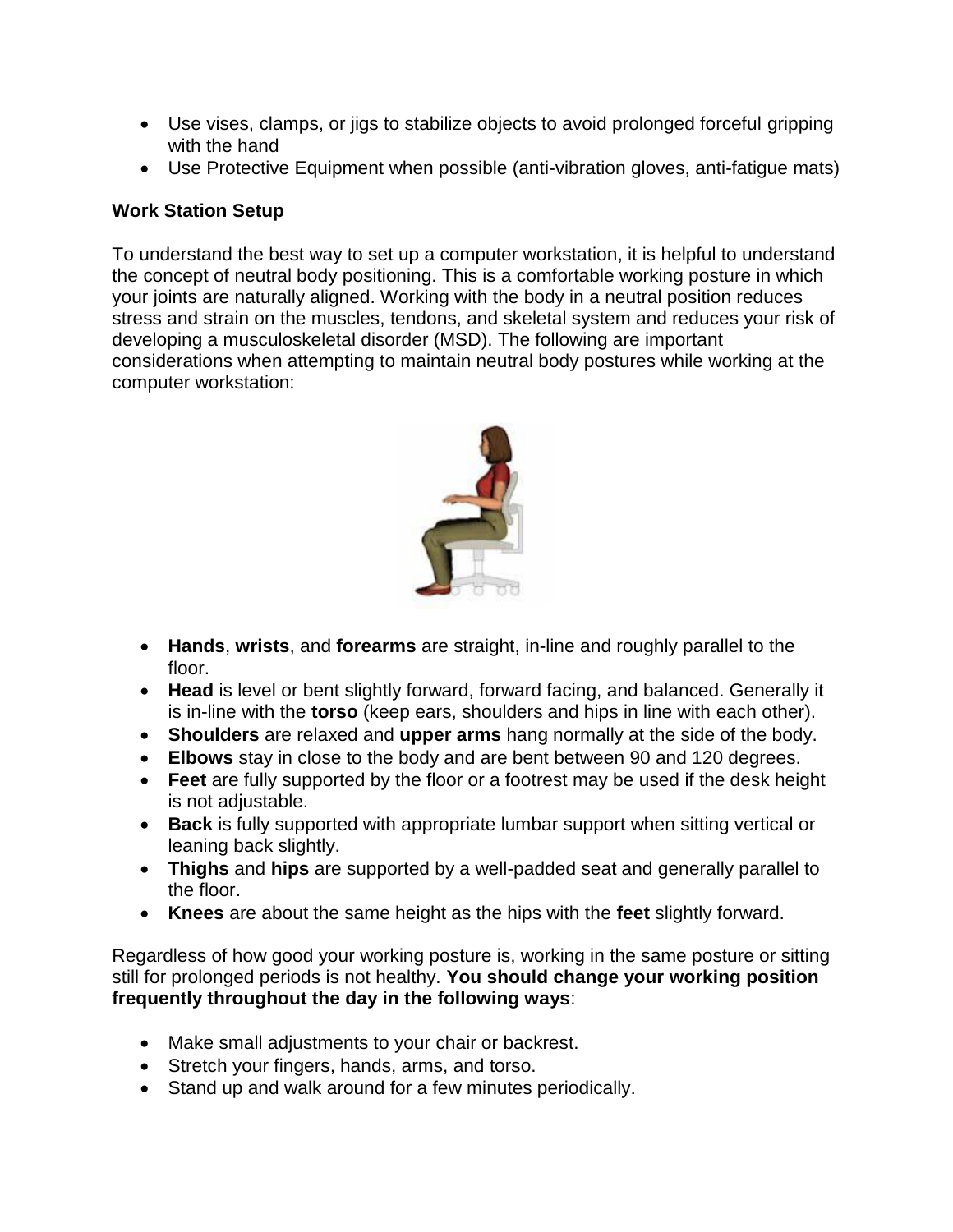- Use vises, clamps, or jigs to stabilize objects to avoid prolonged forceful gripping with the hand
- Use Protective Equipment when possible (anti-vibration gloves, anti-fatigue mats)

# **Work Station Setup**

To understand the best way to set up a computer workstation, it is helpful to understand the concept of neutral body positioning. This is a comfortable working posture in which your joints are naturally aligned. Working with the body in a neutral position reduces stress and strain on the muscles, tendons, and skeletal system and reduces your risk of developing a musculoskeletal disorder (MSD). The following are important considerations when attempting to maintain neutral body postures while working at the computer workstation:



- **Hands**, **wrists**, and **forearms** are straight, in-line and roughly parallel to the floor.
- **Head** is level or bent slightly forward, forward facing, and balanced. Generally it is in-line with the **torso** (keep ears, shoulders and hips in line with each other).
- **Shoulders** are relaxed and **upper arms** hang normally at the side of the body.
- **Elbows** stay in close to the body and are bent between 90 and 120 degrees.
- **Feet** are fully supported by the floor or a footrest may be used if the desk height is not adjustable.
- **Back** is fully supported with appropriate lumbar support when sitting vertical or leaning back slightly.
- **Thighs** and **hips** are supported by a well-padded seat and generally parallel to the floor.
- **Knees** are about the same height as the hips with the **feet** slightly forward.

Regardless of how good your working posture is, working in the same posture or sitting still for prolonged periods is not healthy. **You should change your working position frequently throughout the day in the following ways**:

- Make small adjustments to your chair or backrest.
- Stretch your fingers, hands, arms, and torso.
- Stand up and walk around for a few minutes periodically.